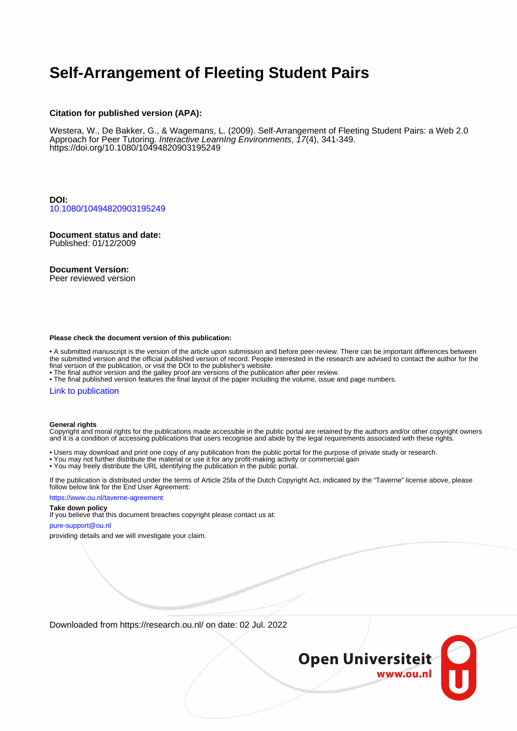# **Self-Arrangement of Fleeting Student Pairs**

#### **Citation for published version (APA):**

Westera, W., De Bakker, G., & Wagemans, L. (2009). Self-Arrangement of Fleeting Student Pairs: a Web 2.0 Approach for Peer Tutoring. Interactive Learning Environments, 17(4), 341-349. <https://doi.org/10.1080/10494820903195249>

**DOI:** [10.1080/10494820903195249](https://doi.org/10.1080/10494820903195249)

**Document status and date:** Published: 01/12/2009

#### **Document Version:**

Peer reviewed version

#### **Please check the document version of this publication:**

• A submitted manuscript is the version of the article upon submission and before peer-review. There can be important differences between the submitted version and the official published version of record. People interested in the research are advised to contact the author for the final version of the publication, or visit the DOI to the publisher's website.

• The final author version and the galley proof are versions of the publication after peer review.

• The final published version features the final layout of the paper including the volume, issue and page numbers.

#### [Link to publication](https://research.ou.nl/en/publications/3c2f2ce9-0954-4c12-b48b-6b30cf7a6ab6)

#### **General rights**

Copyright and moral rights for the publications made accessible in the public portal are retained by the authors and/or other copyright owners and it is a condition of accessing publications that users recognise and abide by the legal requirements associated with these rights.

- Users may download and print one copy of any publication from the public portal for the purpose of private study or research.
- You may not further distribute the material or use it for any profit-making activity or commercial gain
- You may freely distribute the URL identifying the publication in the public portal.

If the publication is distributed under the terms of Article 25fa of the Dutch Copyright Act, indicated by the "Taverne" license above, please follow below link for the End User Agreement:

#### https://www.ou.nl/taverne-agreement

#### **Take down policy**

If you believe that this document breaches copyright please contact us at:

#### pure-support@ou.nl

providing details and we will investigate your claim.

Downloaded from https://research.ou.nl/ on date: 02 Jul. 2022

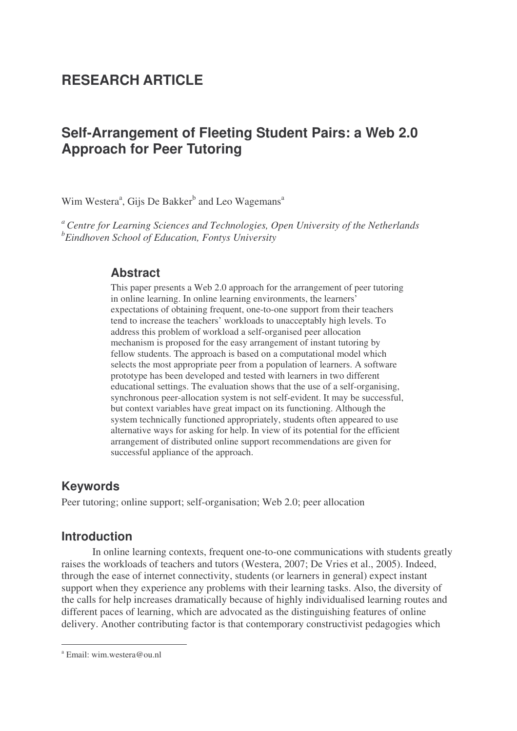# **RESEARCH ARTICLE**

# **Self-Arrangement of Fleeting Student Pairs: a Web 2.0 Approach for Peer Tutoring**

Wim Westera<sup>a</sup>, Gijs De Bakker<sup>b</sup> and Leo Wagemans<sup>a</sup>

*<sup>a</sup> Centre for Learning Sciences and Technologies, Open University of the Netherlands b Eindhoven School of Education, Fontys University*

### **Abstract**

This paper presents a Web 2.0 approach for the arrangement of peer tutoring in online learning. In online learning environments, the learners' expectations of obtaining frequent, one-to-one support from their teachers tend to increase the teachers' workloads to unacceptably high levels. To address this problem of workload a self-organised peer allocation mechanism is proposed for the easy arrangement of instant tutoring by fellow students. The approach is based on a computational model which selects the most appropriate peer from a population of learners. A software prototype has been developed and tested with learners in two different educational settings. The evaluation shows that the use of a self-organising, synchronous peer-allocation system is not self-evident. It may be successful, but context variables have great impact on its functioning. Although the system technically functioned appropriately, students often appeared to use alternative ways for asking for help. In view of its potential for the efficient arrangement of distributed online support recommendations are given for successful appliance of the approach.

### **Keywords**

Peer tutoring; online support; self-organisation; Web 2.0; peer allocation

### **Introduction**

In online learning contexts, frequent one-to-one communications with students greatly raises the workloads of teachers and tutors (Westera, 2007; De Vries et al., 2005). Indeed, through the ease of internet connectivity, students (or learners in general) expect instant support when they experience any problems with their learning tasks. Also, the diversity of the calls for help increases dramatically because of highly individualised learning routes and different paces of learning, which are advocated as the distinguishing features of online delivery. Another contributing factor is that contemporary constructivist pedagogies which

<sup>a</sup> Email: wim.westera@ou.nl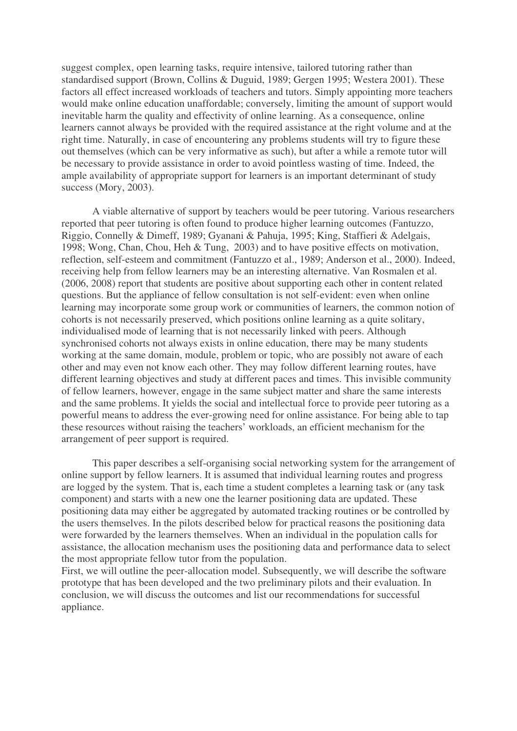suggest complex, open learning tasks, require intensive, tailored tutoring rather than standardised support (Brown, Collins & Duguid, 1989; Gergen 1995; Westera 2001). These factors all effect increased workloads of teachers and tutors. Simply appointing more teachers would make online education unaffordable; conversely, limiting the amount of support would inevitable harm the quality and effectivity of online learning. As a consequence, online learners cannot always be provided with the required assistance at the right volume and at the right time. Naturally, in case of encountering any problems students will try to figure these out themselves (which can be very informative as such), but after a while a remote tutor will be necessary to provide assistance in order to avoid pointless wasting of time. Indeed, the ample availability of appropriate support for learners is an important determinant of study success (Mory, 2003).

A viable alternative of support by teachers would be peer tutoring. Various researchers reported that peer tutoring is often found to produce higher learning outcomes (Fantuzzo, Riggio, Connelly & Dimeff, 1989; Gyanani & Pahuja, 1995; King, Staffieri & Adelgais, 1998; Wong, Chan, Chou, Heh & Tung, 2003) and to have positive effects on motivation, reflection, self-esteem and commitment (Fantuzzo et al., 1989; Anderson et al., 2000). Indeed, receiving help from fellow learners may be an interesting alternative. Van Rosmalen et al. (2006, 2008) report that students are positive about supporting each other in content related questions. But the appliance of fellow consultation is not self-evident: even when online learning may incorporate some group work or communities of learners, the common notion of cohorts is not necessarily preserved, which positions online learning as a quite solitary, individualised mode of learning that is not necessarily linked with peers. Although synchronised cohorts not always exists in online education, there may be many students working at the same domain, module, problem or topic, who are possibly not aware of each other and may even not know each other. They may follow different learning routes, have different learning objectives and study at different paces and times. This invisible community of fellow learners, however, engage in the same subject matter and share the same interests and the same problems. It yields the social and intellectual force to provide peer tutoring as a powerful means to address the ever-growing need for online assistance. For being able to tap these resources without raising the teachers' workloads, an efficient mechanism for the arrangement of peer support is required.

This paper describes a self-organising social networking system for the arrangement of online support by fellow learners. It is assumed that individual learning routes and progress are logged by the system. That is, each time a student completes a learning task or (any task component) and starts with a new one the learner positioning data are updated. These positioning data may either be aggregated by automated tracking routines or be controlled by the users themselves. In the pilots described below for practical reasons the positioning data were forwarded by the learners themselves. When an individual in the population calls for assistance, the allocation mechanism uses the positioning data and performance data to select the most appropriate fellow tutor from the population.

First, we will outline the peer-allocation model. Subsequently, we will describe the software prototype that has been developed and the two preliminary pilots and their evaluation. In conclusion, we will discuss the outcomes and list our recommendations for successful appliance.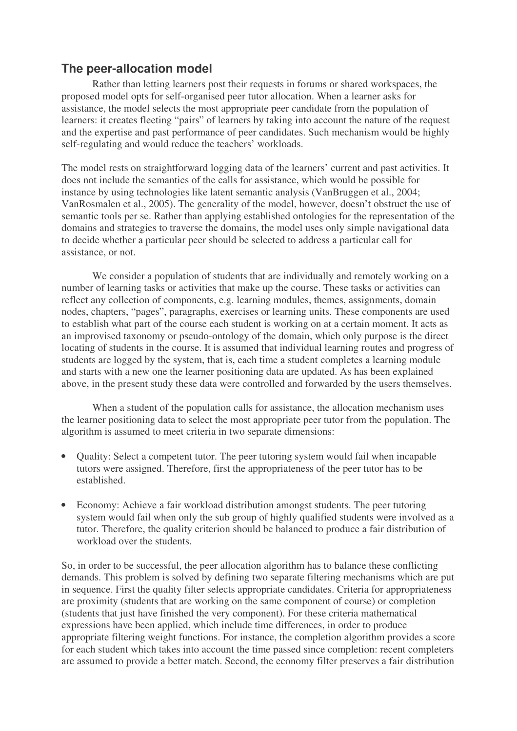## **The peer-allocation model**

Rather than letting learners post their requests in forums or shared workspaces, the proposed model opts for self-organised peer tutor allocation. When a learner asks for assistance, the model selects the most appropriate peer candidate from the population of learners: it creates fleeting "pairs" of learners by taking into account the nature of the request and the expertise and past performance of peer candidates. Such mechanism would be highly self-regulating and would reduce the teachers' workloads.

The model rests on straightforward logging data of the learners' current and past activities. It does not include the semantics of the calls for assistance, which would be possible for instance by using technologies like latent semantic analysis (VanBruggen et al., 2004; VanRosmalen et al., 2005). The generality of the model, however, doesn't obstruct the use of semantic tools per se. Rather than applying established ontologies for the representation of the domains and strategies to traverse the domains, the model uses only simple navigational data to decide whether a particular peer should be selected to address a particular call for assistance, or not.

We consider a population of students that are individually and remotely working on a number of learning tasks or activities that make up the course. These tasks or activities can reflect any collection of components, e.g. learning modules, themes, assignments, domain nodes, chapters, "pages", paragraphs, exercises or learning units. These components are used to establish what part of the course each student is working on at a certain moment. It acts as an improvised taxonomy or pseudo-ontology of the domain, which only purpose is the direct locating of students in the course. It is assumed that individual learning routes and progress of students are logged by the system, that is, each time a student completes a learning module and starts with a new one the learner positioning data are updated. As has been explained above, in the present study these data were controlled and forwarded by the users themselves.

When a student of the population calls for assistance, the allocation mechanism uses the learner positioning data to select the most appropriate peer tutor from the population. The algorithm is assumed to meet criteria in two separate dimensions:

- Quality: Select a competent tutor. The peer tutoring system would fail when incapable tutors were assigned. Therefore, first the appropriateness of the peer tutor has to be established.
- Economy: Achieve a fair workload distribution amongst students. The peer tutoring system would fail when only the sub group of highly qualified students were involved as a tutor. Therefore, the quality criterion should be balanced to produce a fair distribution of workload over the students.

So, in order to be successful, the peer allocation algorithm has to balance these conflicting demands. This problem is solved by defining two separate filtering mechanisms which are put in sequence. First the quality filter selects appropriate candidates. Criteria for appropriateness are proximity (students that are working on the same component of course) or completion (students that just have finished the very component). For these criteria mathematical expressions have been applied, which include time differences, in order to produce appropriate filtering weight functions. For instance, the completion algorithm provides a score for each student which takes into account the time passed since completion: recent completers are assumed to provide a better match. Second, the economy filter preserves a fair distribution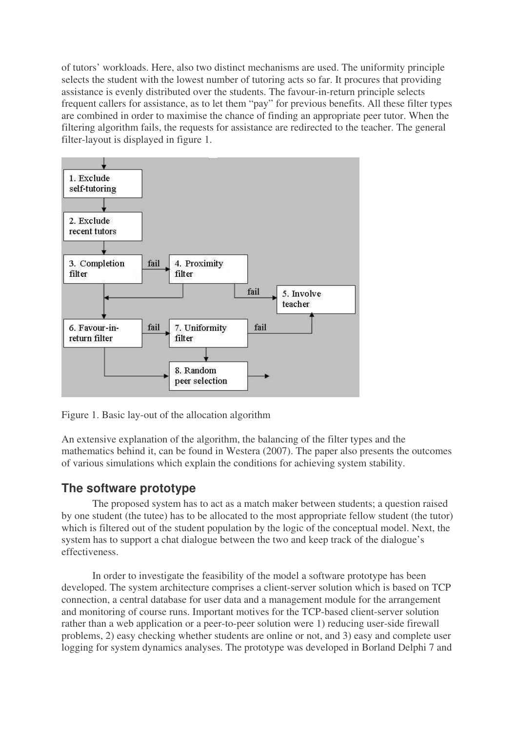of tutors' workloads. Here, also two distinct mechanisms are used. The uniformity principle selects the student with the lowest number of tutoring acts so far. It procures that providing assistance is evenly distributed over the students. The favour-in-return principle selects frequent callers for assistance, as to let them "pay" for previous benefits. All these filter types are combined in order to maximise the chance of finding an appropriate peer tutor. When the filtering algorithm fails, the requests for assistance are redirected to the teacher. The general filter-layout is displayed in figure 1.



Figure 1. Basic lay-out of the allocation algorithm

An extensive explanation of the algorithm, the balancing of the filter types and the mathematics behind it, can be found in Westera (2007). The paper also presents the outcomes of various simulations which explain the conditions for achieving system stability.

## **The software prototype**

The proposed system has to act as a match maker between students; a question raised by one student (the tutee) has to be allocated to the most appropriate fellow student (the tutor) which is filtered out of the student population by the logic of the conceptual model. Next, the system has to support a chat dialogue between the two and keep track of the dialogue's effectiveness.

In order to investigate the feasibility of the model a software prototype has been developed. The system architecture comprises a client-server solution which is based on TCP connection, a central database for user data and a management module for the arrangement and monitoring of course runs. Important motives for the TCP-based client-server solution rather than a web application or a peer-to-peer solution were 1) reducing user-side firewall problems, 2) easy checking whether students are online or not, and 3) easy and complete user logging for system dynamics analyses. The prototype was developed in Borland Delphi 7 and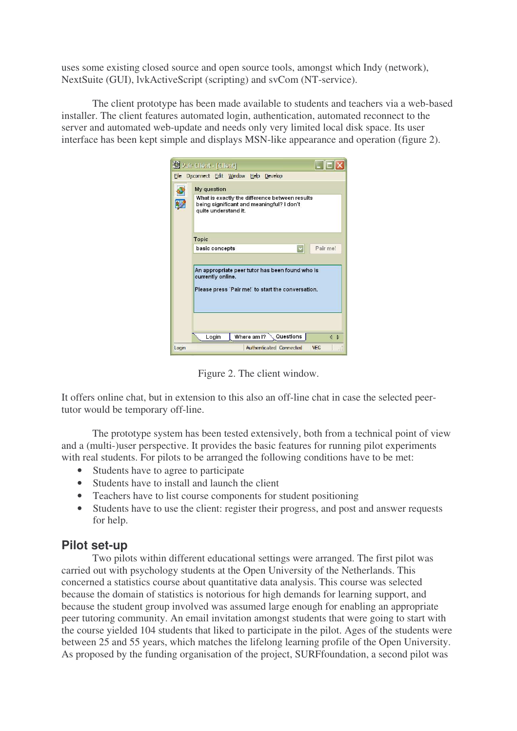uses some existing closed source and open source tools, amongst which Indy (network), NextSuite (GUI), lvkActiveScript (scripting) and svCom (NT-service).

The client prototype has been made available to students and teachers via a web-based installer. The client features automated login, authentication, automated reconnect to the server and automated web-update and needs only very limited local disk space. Its user interface has been kept simple and displays MSN-like appearance and operation (figure 2).

| <b>L 13</b><br>Pair Client - [Client]       |                                                                                                                     |
|---------------------------------------------|---------------------------------------------------------------------------------------------------------------------|
| Disconnect Edit Window Help Develop<br>File |                                                                                                                     |
|                                             | My question                                                                                                         |
|                                             | What is exactly the difference between results<br>being significant and meaningful? I don't<br>quite understand it. |
|                                             | Topic                                                                                                               |
|                                             | Pair me!<br>basic concepts                                                                                          |
|                                             |                                                                                                                     |
|                                             | An appropriate peer tutor has been found who is<br>currently online.                                                |
|                                             | Please press 'Pair me!' to start the conversation.                                                                  |
|                                             | Where am I?<br>Questions<br>Login<br>4<br>b                                                                         |
| Login                                       | Authenticated Connected<br><b>VFG</b>                                                                               |

Figure 2. The client window.

It offers online chat, but in extension to this also an off-line chat in case the selected peertutor would be temporary off-line.

The prototype system has been tested extensively, both from a technical point of view and a (multi-)user perspective. It provides the basic features for running pilot experiments with real students. For pilots to be arranged the following conditions have to be met:

- Students have to agree to participate
- Students have to install and launch the client
- Teachers have to list course components for student positioning
- Students have to use the client: register their progress, and post and answer requests for help.

## **Pilot set-up**

Two pilots within different educational settings were arranged. The first pilot was carried out with psychology students at the Open University of the Netherlands. This concerned a statistics course about quantitative data analysis. This course was selected because the domain of statistics is notorious for high demands for learning support, and because the student group involved was assumed large enough for enabling an appropriate peer tutoring community. An email invitation amongst students that were going to start with the course yielded 104 students that liked to participate in the pilot. Ages of the students were between 25 and 55 years, which matches the lifelong learning profile of the Open University. As proposed by the funding organisation of the project, SURFfoundation, a second pilot was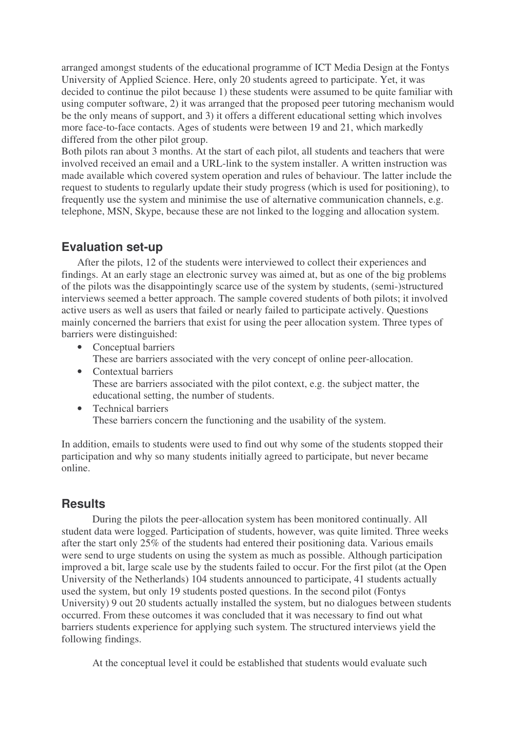arranged amongst students of the educational programme of ICT Media Design at the Fontys University of Applied Science. Here, only 20 students agreed to participate. Yet, it was decided to continue the pilot because 1) these students were assumed to be quite familiar with using computer software, 2) it was arranged that the proposed peer tutoring mechanism would be the only means of support, and 3) it offers a different educational setting which involves more face-to-face contacts. Ages of students were between 19 and 21, which markedly differed from the other pilot group.

Both pilots ran about 3 months. At the start of each pilot, all students and teachers that were involved received an email and a URL-link to the system installer. A written instruction was made available which covered system operation and rules of behaviour. The latter include the request to students to regularly update their study progress (which is used for positioning), to frequently use the system and minimise the use of alternative communication channels, e.g. telephone, MSN, Skype, because these are not linked to the logging and allocation system.

## **Evaluation set-up**

After the pilots, 12 of the students were interviewed to collect their experiences and findings. At an early stage an electronic survey was aimed at, but as one of the big problems of the pilots was the disappointingly scarce use of the system by students, (semi-)structured interviews seemed a better approach. The sample covered students of both pilots; it involved active users as well as users that failed or nearly failed to participate actively. Questions mainly concerned the barriers that exist for using the peer allocation system. Three types of barriers were distinguished:

- Conceptual barriers These are barriers associated with the very concept of online peer-allocation.
- Contextual barriers These are barriers associated with the pilot context, e.g. the subject matter, the educational setting, the number of students.
- Technical barriers These barriers concern the functioning and the usability of the system.

In addition, emails to students were used to find out why some of the students stopped their participation and why so many students initially agreed to participate, but never became online.

## **Results**

During the pilots the peer-allocation system has been monitored continually. All student data were logged. Participation of students, however, was quite limited. Three weeks after the start only 25% of the students had entered their positioning data. Various emails were send to urge students on using the system as much as possible. Although participation improved a bit, large scale use by the students failed to occur. For the first pilot (at the Open University of the Netherlands) 104 students announced to participate, 41 students actually used the system, but only 19 students posted questions. In the second pilot (Fontys University) 9 out 20 students actually installed the system, but no dialogues between students occurred. From these outcomes it was concluded that it was necessary to find out what barriers students experience for applying such system. The structured interviews yield the following findings.

At the conceptual level it could be established that students would evaluate such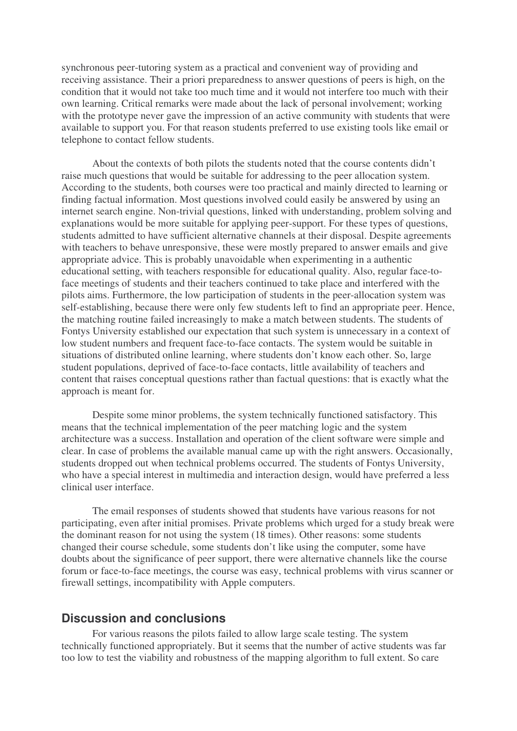synchronous peer-tutoring system as a practical and convenient way of providing and receiving assistance. Their a priori preparedness to answer questions of peers is high, on the condition that it would not take too much time and it would not interfere too much with their own learning. Critical remarks were made about the lack of personal involvement; working with the prototype never gave the impression of an active community with students that were available to support you. For that reason students preferred to use existing tools like email or telephone to contact fellow students.

About the contexts of both pilots the students noted that the course contents didn't raise much questions that would be suitable for addressing to the peer allocation system. According to the students, both courses were too practical and mainly directed to learning or finding factual information. Most questions involved could easily be answered by using an internet search engine. Non-trivial questions, linked with understanding, problem solving and explanations would be more suitable for applying peer-support. For these types of questions, students admitted to have sufficient alternative channels at their disposal. Despite agreements with teachers to behave unresponsive, these were mostly prepared to answer emails and give appropriate advice. This is probably unavoidable when experimenting in a authentic educational setting, with teachers responsible for educational quality. Also, regular face-toface meetings of students and their teachers continued to take place and interfered with the pilots aims. Furthermore, the low participation of students in the peer-allocation system was self-establishing, because there were only few students left to find an appropriate peer. Hence, the matching routine failed increasingly to make a match between students. The students of Fontys University established our expectation that such system is unnecessary in a context of low student numbers and frequent face-to-face contacts. The system would be suitable in situations of distributed online learning, where students don't know each other. So, large student populations, deprived of face-to-face contacts, little availability of teachers and content that raises conceptual questions rather than factual questions: that is exactly what the approach is meant for.

Despite some minor problems, the system technically functioned satisfactory. This means that the technical implementation of the peer matching logic and the system architecture was a success. Installation and operation of the client software were simple and clear. In case of problems the available manual came up with the right answers. Occasionally, students dropped out when technical problems occurred. The students of Fontys University, who have a special interest in multimedia and interaction design, would have preferred a less clinical user interface.

The email responses of students showed that students have various reasons for not participating, even after initial promises. Private problems which urged for a study break were the dominant reason for not using the system (18 times). Other reasons: some students changed their course schedule, some students don't like using the computer, some have doubts about the significance of peer support, there were alternative channels like the course forum or face-to-face meetings, the course was easy, technical problems with virus scanner or firewall settings, incompatibility with Apple computers.

#### **Discussion and conclusions**

For various reasons the pilots failed to allow large scale testing. The system technically functioned appropriately. But it seems that the number of active students was far too low to test the viability and robustness of the mapping algorithm to full extent. So care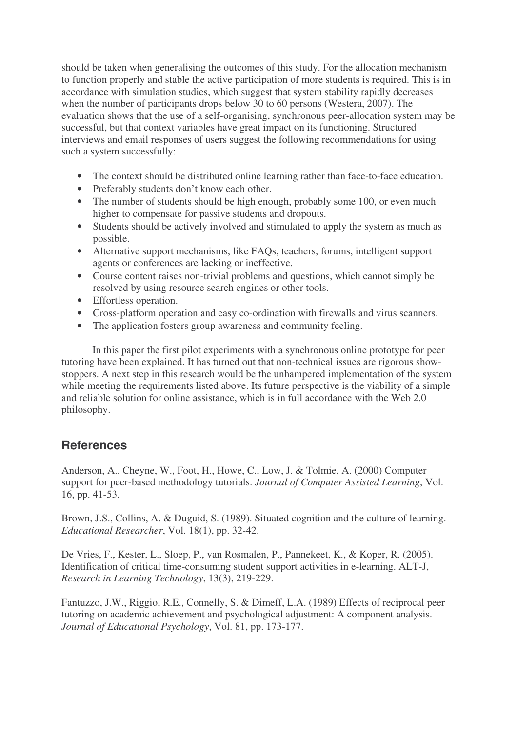should be taken when generalising the outcomes of this study. For the allocation mechanism to function properly and stable the active participation of more students is required. This is in accordance with simulation studies, which suggest that system stability rapidly decreases when the number of participants drops below 30 to 60 persons (Westera, 2007). The evaluation shows that the use of a self-organising, synchronous peer-allocation system may be successful, but that context variables have great impact on its functioning. Structured interviews and email responses of users suggest the following recommendations for using such a system successfully:

- The context should be distributed online learning rather than face-to-face education.
- Preferably students don't know each other.
- The number of students should be high enough, probably some 100, or even much higher to compensate for passive students and dropouts.
- Students should be actively involved and stimulated to apply the system as much as possible.
- Alternative support mechanisms, like FAQs, teachers, forums, intelligent support agents or conferences are lacking or ineffective.
- Course content raises non-trivial problems and questions, which cannot simply be resolved by using resource search engines or other tools.
- Effortless operation.
- Cross-platform operation and easy co-ordination with firewalls and virus scanners.
- The application fosters group awareness and community feeling.

In this paper the first pilot experiments with a synchronous online prototype for peer tutoring have been explained. It has turned out that non-technical issues are rigorous showstoppers. A next step in this research would be the unhampered implementation of the system while meeting the requirements listed above. Its future perspective is the viability of a simple and reliable solution for online assistance, which is in full accordance with the Web 2.0 philosophy.

# **References**

Anderson, A., Cheyne, W., Foot, H., Howe, C., Low, J. & Tolmie, A. (2000) Computer support for peer-based methodology tutorials. *Journal of Computer Assisted Learning*, Vol. 16, pp. 41-53.

Brown, J.S., Collins, A. & Duguid, S. (1989). Situated cognition and the culture of learning. *Educational Researcher*, Vol. 18(1), pp. 32-42.

De Vries, F., Kester, L., Sloep, P., van Rosmalen, P., Pannekeet, K., & Koper, R. (2005). Identification of critical time-consuming student support activities in e-learning. ALT-J, *Research in Learning Technology*, 13(3), 219-229.

Fantuzzo, J.W., Riggio, R.E., Connelly, S. & Dimeff, L.A. (1989) Effects of reciprocal peer tutoring on academic achievement and psychological adjustment: A component analysis. *Journal of Educational Psychology*, Vol. 81, pp. 173-177.